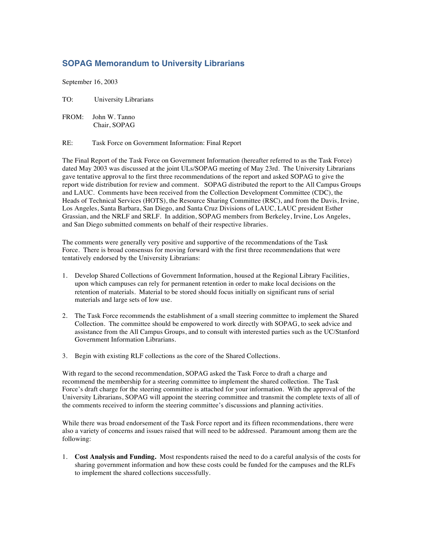## **SOPAG Memorandum to University Librarians**

September 16, 2003

TO: University Librarians

FROM: John W. Tanno Chair, SOPAG

RE: Task Force on Government Information: Final Report

The Final Report of the Task Force on Government Information (hereafter referred to as the Task Force) dated May 2003 was discussed at the joint ULs/SOPAG meeting of May 23rd. The University Librarians gave tentative approval to the first three recommendations of the report and asked SOPAG to give the report wide distribution for review and comment. SOPAG distributed the report to the All Campus Groups and LAUC. Comments have been received from the Collection Development Committee (CDC), the Heads of Technical Services (HOTS), the Resource Sharing Committee (RSC), and from the Davis, Irvine, Los Angeles, Santa Barbara, San Diego, and Santa Cruz Divisions of LAUC, LAUC president Esther Grassian, and the NRLF and SRLF. In addition, SOPAG members from Berkeley, Irvine, Los Angeles, and San Diego submitted comments on behalf of their respective libraries.

The comments were generally very positive and supportive of the recommendations of the Task Force. There is broad consensus for moving forward with the first three recommendations that were tentatively endorsed by the University Librarians:

- 1. Develop Shared Collections of Government Information, housed at the Regional Library Facilities, upon which campuses can rely for permanent retention in order to make local decisions on the retention of materials. Material to be stored should focus initially on significant runs of serial materials and large sets of low use.
- 2. The Task Force recommends the establishment of a small steering committee to implement the Shared Collection. The committee should be empowered to work directly with SOPAG, to seek advice and assistance from the All Campus Groups, and to consult with interested parties such as the UC/Stanford Government Information Librarians.
- 3. Begin with existing RLF collections as the core of the Shared Collections.

With regard to the second recommendation, SOPAG asked the Task Force to draft a charge and recommend the membership for a steering committee to implement the shared collection. The Task Force's draft charge for the steering committee is attached for your information. With the approval of the University Librarians, SOPAG will appoint the steering committee and transmit the complete texts of all of the comments received to inform the steering committee's discussions and planning activities.

While there was broad endorsement of the Task Force report and its fifteen recommendations, there were also a variety of concerns and issues raised that will need to be addressed. Paramount among them are the following:

1. **Cost Analysis and Funding.** Most respondents raised the need to do a careful analysis of the costs for sharing government information and how these costs could be funded for the campuses and the RLFs to implement the shared collections successfully.